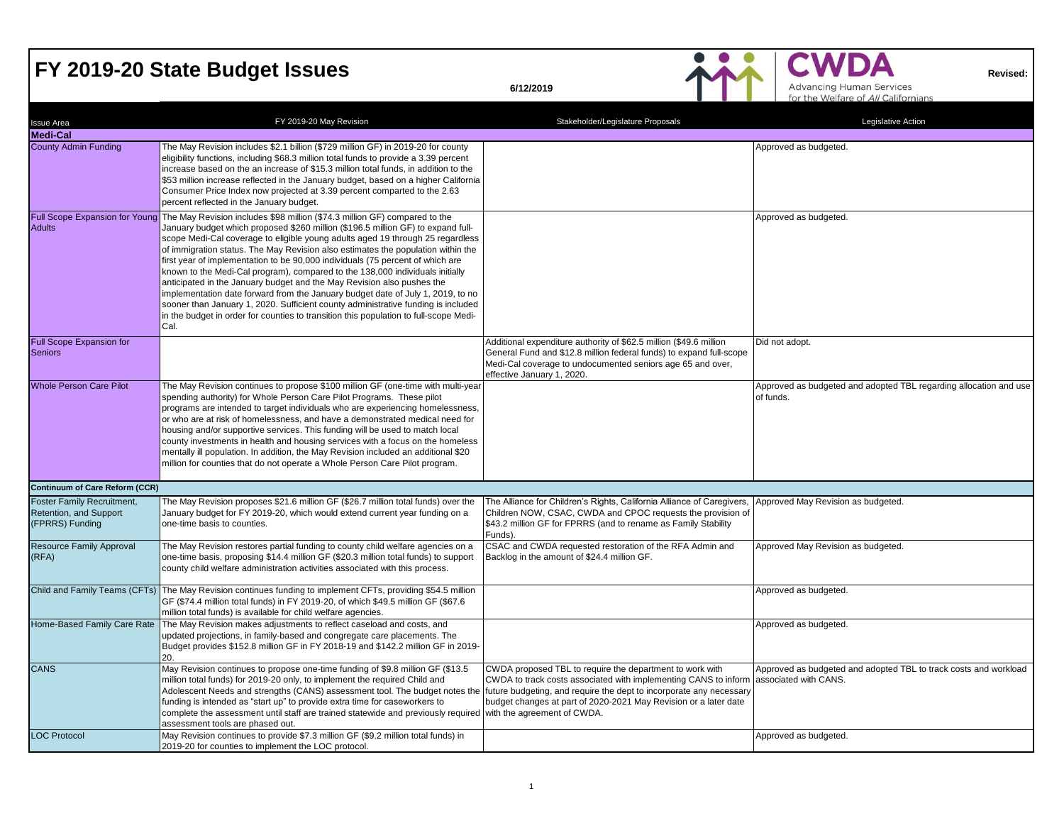### **FY 2019-20 State Budget Issues**



| <b>Issue Area</b>                                                              | FY 2019-20 May Revision                                                                                                                                                                                                                                                                                                                                                                                                                                                                                                                                                                                                                                                                                                                                                                                                                                                                   | Stakeholder/Legislature Proposals                                                                                                                                                                                                                                      | Legislative Action                                                                        |
|--------------------------------------------------------------------------------|-------------------------------------------------------------------------------------------------------------------------------------------------------------------------------------------------------------------------------------------------------------------------------------------------------------------------------------------------------------------------------------------------------------------------------------------------------------------------------------------------------------------------------------------------------------------------------------------------------------------------------------------------------------------------------------------------------------------------------------------------------------------------------------------------------------------------------------------------------------------------------------------|------------------------------------------------------------------------------------------------------------------------------------------------------------------------------------------------------------------------------------------------------------------------|-------------------------------------------------------------------------------------------|
| <b>Medi-Cal</b>                                                                |                                                                                                                                                                                                                                                                                                                                                                                                                                                                                                                                                                                                                                                                                                                                                                                                                                                                                           |                                                                                                                                                                                                                                                                        |                                                                                           |
| <b>County Admin Funding</b>                                                    | The May Revision includes \$2.1 billion (\$729 million GF) in 2019-20 for county<br>eligibility functions, including \$68.3 million total funds to provide a 3.39 percent<br>increase based on the an increase of \$15.3 million total funds, in addition to the<br>\$53 million increase reflected in the January budget, based on a higher California<br>Consumer Price Index now projected at 3.39 percent comparted to the 2.63<br>percent reflected in the January budget.                                                                                                                                                                                                                                                                                                                                                                                                           |                                                                                                                                                                                                                                                                        | Approved as budgeted.                                                                     |
| <b>Adults</b>                                                                  | Full Scope Expansion for Young The May Revision includes \$98 million (\$74.3 million GF) compared to the<br>January budget which proposed \$260 million (\$196.5 million GF) to expand full-<br>scope Medi-Cal coverage to eligible young adults aged 19 through 25 regardless<br>of immigration status. The May Revision also estimates the population within the<br>first year of implementation to be 90,000 individuals (75 percent of which are<br>known to the Medi-Cal program), compared to the 138,000 individuals initially<br>anticipated in the January budget and the May Revision also pushes the<br>implementation date forward from the January budget date of July 1, 2019, to no<br>sooner than January 1, 2020. Sufficient county administrative funding is included<br>in the budget in order for counties to transition this population to full-scope Medi-<br>Cal. |                                                                                                                                                                                                                                                                        | Approved as budgeted.                                                                     |
| <b>Full Scope Expansion for</b><br><b>Seniors</b>                              |                                                                                                                                                                                                                                                                                                                                                                                                                                                                                                                                                                                                                                                                                                                                                                                                                                                                                           | Additional expenditure authority of \$62.5 million (\$49.6 million<br>General Fund and \$12.8 million federal funds) to expand full-scope<br>Medi-Cal coverage to undocumented seniors age 65 and over,<br>effective January 1, 2020.                                  | Did not adopt.                                                                            |
| <b>Whole Person Care Pilot</b>                                                 | The May Revision continues to propose \$100 million GF (one-time with multi-year<br>spending authority) for Whole Person Care Pilot Programs. These pilot<br>programs are intended to target individuals who are experiencing homelessness,<br>or who are at risk of homelessness, and have a demonstrated medical need for<br>housing and/or supportive services. This funding will be used to match local<br>county investments in health and housing services with a focus on the homeless<br>mentally ill population. In addition, the May Revision included an additional \$20<br>million for counties that do not operate a Whole Person Care Pilot program.                                                                                                                                                                                                                        |                                                                                                                                                                                                                                                                        | Approved as budgeted and adopted TBL regarding allocation and use<br>of funds.            |
| <b>Continuum of Care Reform (CCR)</b>                                          |                                                                                                                                                                                                                                                                                                                                                                                                                                                                                                                                                                                                                                                                                                                                                                                                                                                                                           |                                                                                                                                                                                                                                                                        |                                                                                           |
| <b>Foster Family Recruitment,</b><br>Retention, and Support<br>(FPRRS) Funding | The May Revision proposes \$21.6 million GF (\$26.7 million total funds) over the<br>January budget for FY 2019-20, which would extend current year funding on a<br>one-time basis to counties.                                                                                                                                                                                                                                                                                                                                                                                                                                                                                                                                                                                                                                                                                           | The Alliance for Children's Rights, California Alliance of Caregivers,<br>Children NOW, CSAC, CWDA and CPOC requests the provision of<br>\$43.2 million GF for FPRRS (and to rename as Family Stability<br>Funds).                                                     | Approved May Revision as budgeted.                                                        |
| Resource Family Approval<br>(RFA)                                              | The May Revision restores partial funding to county child welfare agencies on a<br>one-time basis, proposing \$14.4 million GF (\$20.3 million total funds) to support<br>county child welfare administration activities associated with this process.                                                                                                                                                                                                                                                                                                                                                                                                                                                                                                                                                                                                                                    | CSAC and CWDA requested restoration of the RFA Admin and<br>Backlog in the amount of \$24.4 million GF.                                                                                                                                                                | Approved May Revision as budgeted.                                                        |
|                                                                                | Child and Family Teams (CFTs) The May Revision continues funding to implement CFTs, providing \$54.5 million<br>GF (\$74.4 million total funds) in FY 2019-20, of which \$49.5 million GF (\$67.6<br>million total funds) is available for child welfare agencies.                                                                                                                                                                                                                                                                                                                                                                                                                                                                                                                                                                                                                        |                                                                                                                                                                                                                                                                        | Approved as budgeted.                                                                     |
| Home-Based Family Care Rate                                                    | The May Revision makes adjustments to reflect caseload and costs, and<br>updated projections, in family-based and congregate care placements. The<br>Budget provides \$152.8 million GF in FY 2018-19 and \$142.2 million GF in 2019-<br>20.                                                                                                                                                                                                                                                                                                                                                                                                                                                                                                                                                                                                                                              |                                                                                                                                                                                                                                                                        | Approved as budgeted.                                                                     |
| <b>CANS</b>                                                                    | May Revision continues to propose one-time funding of \$9.8 million GF (\$13.5<br>million total funds) for 2019-20 only, to implement the required Child and<br>Adolescent Needs and strengths (CANS) assessment tool. The budget notes the<br>funding is intended as "start up" to provide extra time for caseworkers to<br>complete the assessment until staff are trained statewide and previously required with the agreement of CWDA.<br>assessment tools are phased out.                                                                                                                                                                                                                                                                                                                                                                                                            | CWDA proposed TBL to require the department to work with<br>CWDA to track costs associated with implementing CANS to inform<br>future budgeting, and require the dept to incorporate any necessary<br>budget changes at part of 2020-2021 May Revision or a later date | Approved as budgeted and adopted TBL to track costs and workload<br>associated with CANS. |
| <b>LOC Protocol</b>                                                            | May Revision continues to provide \$7.3 million GF (\$9.2 million total funds) in<br>2019-20 for counties to implement the LOC protocol.                                                                                                                                                                                                                                                                                                                                                                                                                                                                                                                                                                                                                                                                                                                                                  |                                                                                                                                                                                                                                                                        | Approved as budgeted.                                                                     |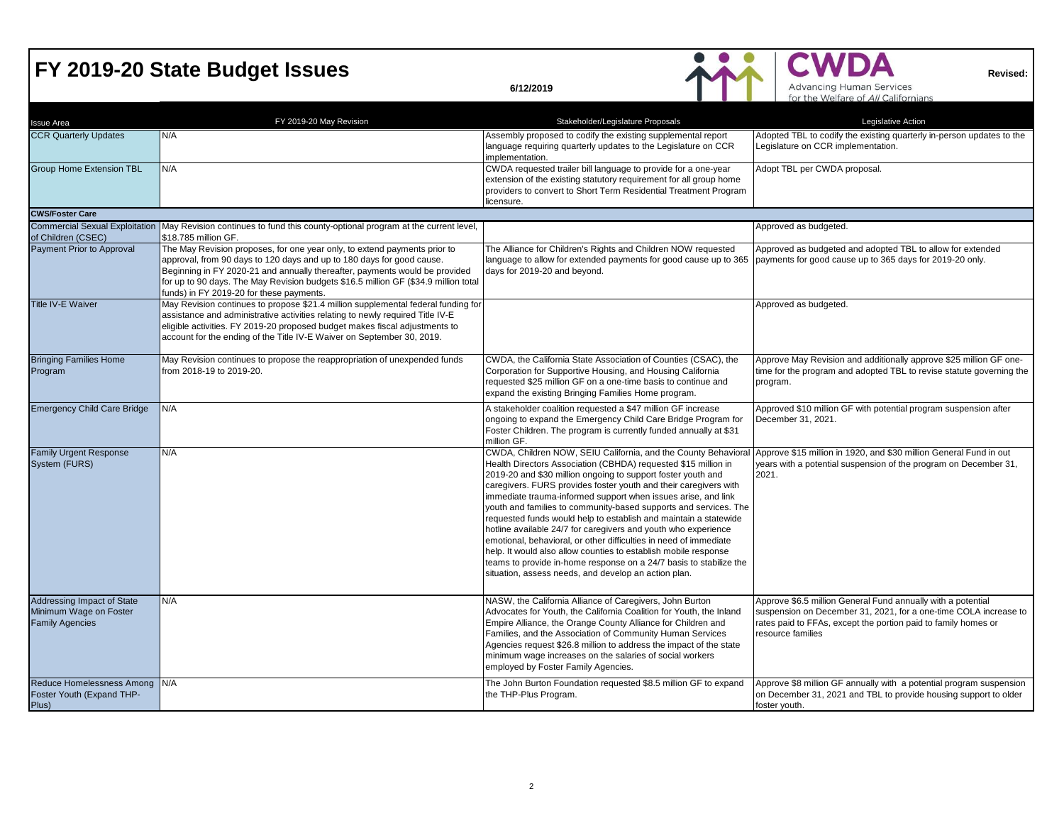

| <b>Issue Area</b>                                                              | FY 2019-20 May Revision                                                                                                                                                                                                                                                                                                                                              | Stakeholder/Legislature Proposals                                                                                                                                                                                                                                                                                                                                                                                                                                                                                                                                                                                                                                                                                                                                                                                     | Legislative Action                                                                                                                                                                                                      |
|--------------------------------------------------------------------------------|----------------------------------------------------------------------------------------------------------------------------------------------------------------------------------------------------------------------------------------------------------------------------------------------------------------------------------------------------------------------|-----------------------------------------------------------------------------------------------------------------------------------------------------------------------------------------------------------------------------------------------------------------------------------------------------------------------------------------------------------------------------------------------------------------------------------------------------------------------------------------------------------------------------------------------------------------------------------------------------------------------------------------------------------------------------------------------------------------------------------------------------------------------------------------------------------------------|-------------------------------------------------------------------------------------------------------------------------------------------------------------------------------------------------------------------------|
| <b>CCR Quarterly Updates</b>                                                   | N/A                                                                                                                                                                                                                                                                                                                                                                  | Assembly proposed to codify the existing supplemental report<br>language requiring quarterly updates to the Legislature on CCR<br>implementation.                                                                                                                                                                                                                                                                                                                                                                                                                                                                                                                                                                                                                                                                     | Adopted TBL to codify the existing quarterly in-person updates to the<br>Legislature on CCR implementation.                                                                                                             |
| <b>Group Home Extension TBL</b>                                                | N/A                                                                                                                                                                                                                                                                                                                                                                  | CWDA requested trailer bill language to provide for a one-year<br>extension of the existing statutory requirement for all group home<br>providers to convert to Short Term Residential Treatment Program<br>licensure.                                                                                                                                                                                                                                                                                                                                                                                                                                                                                                                                                                                                | Adopt TBL per CWDA proposal.                                                                                                                                                                                            |
| <b>CWS/Foster Care</b>                                                         |                                                                                                                                                                                                                                                                                                                                                                      |                                                                                                                                                                                                                                                                                                                                                                                                                                                                                                                                                                                                                                                                                                                                                                                                                       |                                                                                                                                                                                                                         |
| of Children (CSEC)                                                             | Commercial Sexual Exploitation May Revision continues to fund this county-optional program at the current level,<br>\$18.785 million GF.                                                                                                                                                                                                                             |                                                                                                                                                                                                                                                                                                                                                                                                                                                                                                                                                                                                                                                                                                                                                                                                                       | Approved as budgeted.                                                                                                                                                                                                   |
| Payment Prior to Approval                                                      | The May Revision proposes, for one year only, to extend payments prior to<br>approval, from 90 days to 120 days and up to 180 days for good cause.<br>Beginning in FY 2020-21 and annually thereafter, payments would be provided<br>for up to 90 days. The May Revision budgets \$16.5 million GF (\$34.9 million total<br>funds) in FY 2019-20 for these payments. | The Alliance for Children's Rights and Children NOW requested<br>language to allow for extended payments for good cause up to 365<br>days for 2019-20 and beyond.                                                                                                                                                                                                                                                                                                                                                                                                                                                                                                                                                                                                                                                     | Approved as budgeted and adopted TBL to allow for extended<br>payments for good cause up to 365 days for 2019-20 only.                                                                                                  |
| <b>Title IV-E Waiver</b>                                                       | May Revision continues to propose \$21.4 million supplemental federal funding for<br>assistance and administrative activities relating to newly required Title IV-E<br>eligible activities. FY 2019-20 proposed budget makes fiscal adjustments to<br>account for the ending of the Title IV-E Waiver on September 30, 2019.                                         |                                                                                                                                                                                                                                                                                                                                                                                                                                                                                                                                                                                                                                                                                                                                                                                                                       | Approved as budgeted.                                                                                                                                                                                                   |
| <b>Bringing Families Home</b><br>Program                                       | May Revision continues to propose the reappropriation of unexpended funds<br>from 2018-19 to 2019-20.                                                                                                                                                                                                                                                                | CWDA, the California State Association of Counties (CSAC), the<br>Corporation for Supportive Housing, and Housing California<br>requested \$25 million GF on a one-time basis to continue and<br>expand the existing Bringing Families Home program.                                                                                                                                                                                                                                                                                                                                                                                                                                                                                                                                                                  | Approve May Revision and additionally approve \$25 million GF one-<br>time for the program and adopted TBL to revise statute governing the<br>program.                                                                  |
| <b>Emergency Child Care Bridge</b>                                             | N/A                                                                                                                                                                                                                                                                                                                                                                  | A stakeholder coalition requested a \$47 million GF increase<br>ongoing to expand the Emergency Child Care Bridge Program for<br>Foster Children. The program is currently funded annually at \$31<br>million GF.                                                                                                                                                                                                                                                                                                                                                                                                                                                                                                                                                                                                     | Approved \$10 million GF with potential program suspension after<br>December 31, 2021.                                                                                                                                  |
| <b>Family Urgent Response</b><br>System (FURS)                                 | N/A                                                                                                                                                                                                                                                                                                                                                                  | CWDA, Children NOW, SEIU California, and the County Behavioral<br>Health Directors Association (CBHDA) requested \$15 million in<br>2019-20 and \$30 million ongoing to support foster youth and<br>caregivers. FURS provides foster youth and their caregivers with<br>immediate trauma-informed support when issues arise, and link<br>youth and families to community-based supports and services. The<br>requested funds would help to establish and maintain a statewide<br>hotline available 24/7 for caregivers and youth who experience<br>emotional, behavioral, or other difficulties in need of immediate<br>help. It would also allow counties to establish mobile response<br>teams to provide in-home response on a 24/7 basis to stabilize the<br>situation, assess needs, and develop an action plan. | Approve \$15 million in 1920, and \$30 million General Fund in out<br>years with a potential suspension of the program on December 31,<br>2021.                                                                         |
| Addressing Impact of State<br>Minimum Wage on Foster<br><b>Family Agencies</b> | N/A                                                                                                                                                                                                                                                                                                                                                                  | NASW, the California Alliance of Caregivers, John Burton<br>Advocates for Youth, the California Coalition for Youth, the Inland<br>Empire Alliance, the Orange County Alliance for Children and<br>Families, and the Association of Community Human Services<br>Agencies request \$26.8 million to address the impact of the state<br>minimum wage increases on the salaries of social workers<br>employed by Foster Family Agencies.                                                                                                                                                                                                                                                                                                                                                                                 | Approve \$6.5 million General Fund annually with a potential<br>suspension on December 31, 2021, for a one-time COLA increase to<br>rates paid to FFAs, except the portion paid to family homes or<br>resource families |
| Reduce Homelessness Among N/A<br>Foster Youth (Expand THP-<br>Plus)            |                                                                                                                                                                                                                                                                                                                                                                      | The John Burton Foundation requested \$8.5 million GF to expand<br>the THP-Plus Program.                                                                                                                                                                                                                                                                                                                                                                                                                                                                                                                                                                                                                                                                                                                              | Approve \$8 million GF annually with a potential program suspension<br>on December 31, 2021 and TBL to provide housing support to older<br>foster youth.                                                                |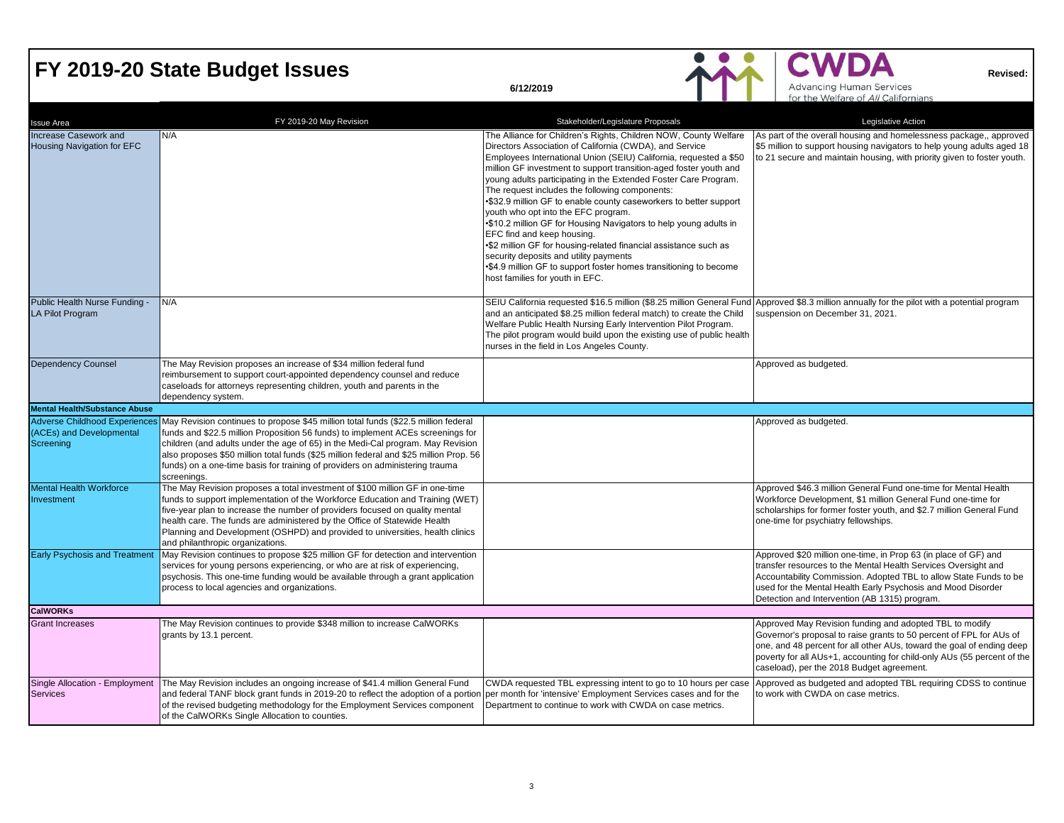# **FY 2019-20 State Budget Issues**<br> **EXECUTE:** Advancing Human Services<br> **EXECUTE:** Advancing Human Services<br> **EXECUTE:** Advancing Human Services<br> **EXECUTE:** Revised:

| <b>Issue Area</b>                                                             | FY 2019-20 May Revision                                                                                                                                                                                                                                                                                                                                                                                                                           | Stakeholder/Legislature Proposals                                                                                                                                                                                                                                                                                                                                                                                                                                                                                                                                                                                                                                                                                                                                                                                               | Legislative Action                                                                                                                                                                                                                                                                                                              |
|-------------------------------------------------------------------------------|---------------------------------------------------------------------------------------------------------------------------------------------------------------------------------------------------------------------------------------------------------------------------------------------------------------------------------------------------------------------------------------------------------------------------------------------------|---------------------------------------------------------------------------------------------------------------------------------------------------------------------------------------------------------------------------------------------------------------------------------------------------------------------------------------------------------------------------------------------------------------------------------------------------------------------------------------------------------------------------------------------------------------------------------------------------------------------------------------------------------------------------------------------------------------------------------------------------------------------------------------------------------------------------------|---------------------------------------------------------------------------------------------------------------------------------------------------------------------------------------------------------------------------------------------------------------------------------------------------------------------------------|
| Increase Casework and<br>Housing Navigation for EFC                           | N/A                                                                                                                                                                                                                                                                                                                                                                                                                                               | The Alliance for Children's Rights, Children NOW, County Welfare<br>Directors Association of California (CWDA), and Service<br>Employees International Union (SEIU) California, requested a \$50<br>million GF investment to support transition-aged foster youth and<br>young adults participating in the Extended Foster Care Program.<br>The request includes the following components:<br>•\$32.9 million GF to enable county caseworkers to better support<br>youth who opt into the EFC program.<br>•\$10.2 million GF for Housing Navigators to help young adults in<br>EFC find and keep housing.<br>•\$2 million GF for housing-related financial assistance such as<br>security deposits and utility payments<br>•\$4.9 million GF to support foster homes transitioning to become<br>host families for youth in EFC. | As part of the overall housing and homelessness package,, approved<br>\$5 million to support housing navigators to help young adults aged 18<br>to 21 secure and maintain housing, with priority given to foster youth.                                                                                                         |
| Public Health Nurse Funding -<br><b>LA Pilot Program</b>                      | N/A                                                                                                                                                                                                                                                                                                                                                                                                                                               | SEIU California requested \$16.5 million (\$8.25 million General Fund Approved \$8.3 million annually for the pilot with a potential program<br>and an anticipated \$8.25 million federal match) to create the Child<br>Welfare Public Health Nursing Early Intervention Pilot Program.<br>The pilot program would build upon the existing use of public health<br>nurses in the field in Los Angeles County.                                                                                                                                                                                                                                                                                                                                                                                                                   | suspension on December 31, 2021.                                                                                                                                                                                                                                                                                                |
| <b>Dependency Counsel</b>                                                     | The May Revision proposes an increase of \$34 million federal fund<br>reimbursement to support court-appointed dependency counsel and reduce<br>caseloads for attorneys representing children, youth and parents in the<br>dependency system.                                                                                                                                                                                                     |                                                                                                                                                                                                                                                                                                                                                                                                                                                                                                                                                                                                                                                                                                                                                                                                                                 | Approved as budgeted.                                                                                                                                                                                                                                                                                                           |
| <b>Mental Health/Substance Abuse</b>                                          |                                                                                                                                                                                                                                                                                                                                                                                                                                                   |                                                                                                                                                                                                                                                                                                                                                                                                                                                                                                                                                                                                                                                                                                                                                                                                                                 |                                                                                                                                                                                                                                                                                                                                 |
| <b>Adverse Childhood Experience:</b><br>(ACEs) and Developmental<br>Screening | May Revision continues to propose \$45 million total funds (\$22.5 million federal<br>funds and \$22.5 million Proposition 56 funds) to implement ACEs screenings for<br>children (and adults under the age of 65) in the Medi-Cal program. May Revision<br>also proposes \$50 million total funds (\$25 million federal and \$25 million Prop. 56<br>funds) on a one-time basis for training of providers on administering trauma<br>screenings. |                                                                                                                                                                                                                                                                                                                                                                                                                                                                                                                                                                                                                                                                                                                                                                                                                                 | Approved as budgeted.                                                                                                                                                                                                                                                                                                           |
| <b>Mental Health Workforce</b><br>Investment                                  | The May Revision proposes a total investment of \$100 million GF in one-time<br>funds to support implementation of the Workforce Education and Training (WET)<br>five-year plan to increase the number of providers focused on quality mental<br>health care. The funds are administered by the Office of Statewide Health<br>Planning and Development (OSHPD) and provided to universities, health clinics<br>and philanthropic organizations.   |                                                                                                                                                                                                                                                                                                                                                                                                                                                                                                                                                                                                                                                                                                                                                                                                                                 | Approved \$46.3 million General Fund one-time for Mental Health<br>Workforce Development, \$1 million General Fund one-time for<br>scholarships for former foster youth, and \$2.7 million General Fund<br>one-time for psychiatry fellowships.                                                                                 |
| <b>Early Psychosis and Treatment</b>                                          | May Revision continues to propose \$25 million GF for detection and intervention<br>services for young persons experiencing, or who are at risk of experiencing,<br>psychosis. This one-time funding would be available through a grant application<br>process to local agencies and organizations.                                                                                                                                               |                                                                                                                                                                                                                                                                                                                                                                                                                                                                                                                                                                                                                                                                                                                                                                                                                                 | Approved \$20 million one-time, in Prop 63 (in place of GF) and<br>transfer resources to the Mental Health Services Oversight and<br>Accountability Commission. Adopted TBL to allow State Funds to be<br>used for the Mental Health Early Psychosis and Mood Disorder<br>Detection and Intervention (AB 1315) program.         |
| <b>CalWORKs</b>                                                               |                                                                                                                                                                                                                                                                                                                                                                                                                                                   |                                                                                                                                                                                                                                                                                                                                                                                                                                                                                                                                                                                                                                                                                                                                                                                                                                 |                                                                                                                                                                                                                                                                                                                                 |
| <b>Grant Increases</b>                                                        | The May Revision continues to provide \$348 million to increase CalWORKs<br>grants by 13.1 percent.                                                                                                                                                                                                                                                                                                                                               |                                                                                                                                                                                                                                                                                                                                                                                                                                                                                                                                                                                                                                                                                                                                                                                                                                 | Approved May Revision funding and adopted TBL to modify<br>Governor's proposal to raise grants to 50 percent of FPL for AUs of<br>one, and 48 percent for all other AUs, toward the goal of ending deep<br>poverty for all AUs+1, accounting for child-only AUs (55 percent of the<br>caseload), per the 2018 Budget agreement. |
| <b>Services</b>                                                               | Single Allocation - Employment   The May Revision includes an ongoing increase of \$41.4 million General Fund<br>and federal TANF block grant funds in 2019-20 to reflect the adoption of a portion<br>of the revised budgeting methodology for the Employment Services component<br>of the CalWORKs Single Allocation to counties.                                                                                                               | CWDA requested TBL expressing intent to go to 10 hours per case<br>per month for 'intensive' Employment Services cases and for the<br>Department to continue to work with CWDA on case metrics.                                                                                                                                                                                                                                                                                                                                                                                                                                                                                                                                                                                                                                 | Approved as budgeted and adopted TBL requiring CDSS to continue<br>to work with CWDA on case metrics.                                                                                                                                                                                                                           |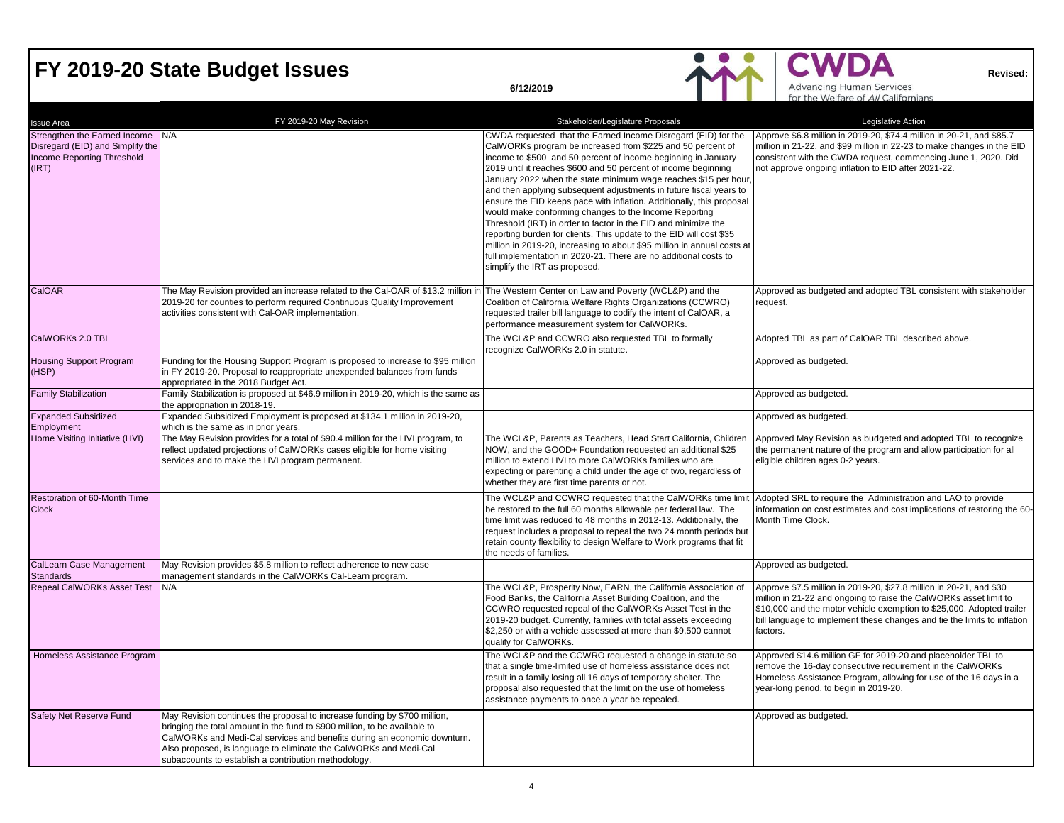## FY 2019-20 State Budget Issues<br> **EXECUTE:** Revised:<br> **Revised:**

|                                                                                                                    |                                                                                                                                                                                                                                                                                                                                                                  |                                                                                                                                                                                                                                                                                                                                                                                                                                                                                                                                                                                                                                                                                                                                                                                                                                                                    | for the Welfare of All Californians                                                                                                                                                                                                                                                                       |
|--------------------------------------------------------------------------------------------------------------------|------------------------------------------------------------------------------------------------------------------------------------------------------------------------------------------------------------------------------------------------------------------------------------------------------------------------------------------------------------------|--------------------------------------------------------------------------------------------------------------------------------------------------------------------------------------------------------------------------------------------------------------------------------------------------------------------------------------------------------------------------------------------------------------------------------------------------------------------------------------------------------------------------------------------------------------------------------------------------------------------------------------------------------------------------------------------------------------------------------------------------------------------------------------------------------------------------------------------------------------------|-----------------------------------------------------------------------------------------------------------------------------------------------------------------------------------------------------------------------------------------------------------------------------------------------------------|
| <b>Issue Area</b>                                                                                                  | FY 2019-20 May Revision                                                                                                                                                                                                                                                                                                                                          | Stakeholder/Legislature Proposals                                                                                                                                                                                                                                                                                                                                                                                                                                                                                                                                                                                                                                                                                                                                                                                                                                  | Legislative Action                                                                                                                                                                                                                                                                                        |
| Strengthen the Earned Income N/A<br>Disregard (EID) and Simplify the<br><b>Income Reporting Threshold</b><br>(IRT) |                                                                                                                                                                                                                                                                                                                                                                  | CWDA requested that the Earned Income Disregard (EID) for the<br>CalWORKs program be increased from \$225 and 50 percent of<br>income to \$500 and 50 percent of income beginning in January<br>2019 until it reaches \$600 and 50 percent of income beginning<br>January 2022 when the state minimum wage reaches \$15 per hour,<br>and then applying subsequent adjustments in future fiscal years to<br>ensure the EID keeps pace with inflation. Additionally, this proposal<br>would make conforming changes to the Income Reporting<br>Threshold (IRT) in order to factor in the EID and minimize the<br>reporting burden for clients. This update to the EID will cost \$35<br>million in 2019-20, increasing to about \$95 million in annual costs at<br>full implementation in 2020-21. There are no additional costs to<br>simplify the IRT as proposed. | Approve \$6.8 million in 2019-20, \$74.4 million in 20-21, and \$85.7<br>million in 21-22, and \$99 million in 22-23 to make changes in the EID<br>consistent with the CWDA request, commencing June 1, 2020. Did<br>not approve ongoing inflation to EID after 2021-22.                                  |
| CalOAR                                                                                                             | The May Revision provided an increase related to the Cal-OAR of \$13.2 million in The Western Center on Law and Poverty (WCL&P) and the<br>2019-20 for counties to perform required Continuous Quality Improvement<br>activities consistent with Cal-OAR implementation.                                                                                         | Coalition of California Welfare Rights Organizations (CCWRO)<br>requested trailer bill language to codify the intent of CalOAR, a<br>performance measurement system for CalWORKs.                                                                                                                                                                                                                                                                                                                                                                                                                                                                                                                                                                                                                                                                                  | Approved as budgeted and adopted TBL consistent with stakeholder<br>request.                                                                                                                                                                                                                              |
| CalWORKs 2.0 TBL                                                                                                   |                                                                                                                                                                                                                                                                                                                                                                  | The WCL&P and CCWRO also requested TBL to formally<br>recognize CalWORKs 2.0 in statute.                                                                                                                                                                                                                                                                                                                                                                                                                                                                                                                                                                                                                                                                                                                                                                           | Adopted TBL as part of CalOAR TBL described above.                                                                                                                                                                                                                                                        |
| Housing Support Program<br>(HSP)                                                                                   | Funding for the Housing Support Program is proposed to increase to \$95 million<br>in FY 2019-20. Proposal to reappropriate unexpended balances from funds<br>appropriated in the 2018 Budget Act.                                                                                                                                                               |                                                                                                                                                                                                                                                                                                                                                                                                                                                                                                                                                                                                                                                                                                                                                                                                                                                                    | Approved as budgeted.                                                                                                                                                                                                                                                                                     |
| <b>Family Stabilization</b>                                                                                        | Family Stabilization is proposed at \$46.9 million in 2019-20, which is the same as<br>the appropriation in 2018-19.                                                                                                                                                                                                                                             |                                                                                                                                                                                                                                                                                                                                                                                                                                                                                                                                                                                                                                                                                                                                                                                                                                                                    | Approved as budgeted.                                                                                                                                                                                                                                                                                     |
| <b>Expanded Subsidized</b><br>Employment                                                                           | Expanded Subsidized Employment is proposed at \$134.1 million in 2019-20,<br>which is the same as in prior years.                                                                                                                                                                                                                                                |                                                                                                                                                                                                                                                                                                                                                                                                                                                                                                                                                                                                                                                                                                                                                                                                                                                                    | Approved as budgeted.                                                                                                                                                                                                                                                                                     |
| Home Visiting Initiative (HVI)                                                                                     | The May Revision provides for a total of \$90.4 million for the HVI program, to<br>reflect updated projections of CalWORKs cases eligible for home visiting<br>services and to make the HVI program permanent.                                                                                                                                                   | The WCL&P, Parents as Teachers, Head Start California, Children<br>NOW, and the GOOD+ Foundation requested an additional \$25<br>million to extend HVI to more CalWORKs families who are<br>expecting or parenting a child under the age of two, regardless of<br>whether they are first time parents or not.                                                                                                                                                                                                                                                                                                                                                                                                                                                                                                                                                      | Approved May Revision as budgeted and adopted TBL to recognize<br>the permanent nature of the program and allow participation for all<br>eligible children ages 0-2 years.                                                                                                                                |
| Restoration of 60-Month Time<br><b>Clock</b>                                                                       |                                                                                                                                                                                                                                                                                                                                                                  | The WCL&P and CCWRO requested that the CalWORKs time limit<br>be restored to the full 60 months allowable per federal law. The<br>time limit was reduced to 48 months in 2012-13. Additionally, the<br>request includes a proposal to repeal the two 24 month periods but<br>retain county flexibility to design Welfare to Work programs that fit<br>the needs of families.                                                                                                                                                                                                                                                                                                                                                                                                                                                                                       | Adopted SRL to require the Administration and LAO to provide<br>information on cost estimates and cost implications of restoring the 60-<br>Month Time Clock.                                                                                                                                             |
| CalLearn Case Management<br><b>Standards</b>                                                                       | May Revision provides \$5.8 million to reflect adherence to new case<br>management standards in the CalWORKs Cal-Learn program.                                                                                                                                                                                                                                  |                                                                                                                                                                                                                                                                                                                                                                                                                                                                                                                                                                                                                                                                                                                                                                                                                                                                    | Approved as budgeted.                                                                                                                                                                                                                                                                                     |
| <b>Repeal CalWORKs Asset Test</b>                                                                                  | N/A                                                                                                                                                                                                                                                                                                                                                              | The WCL&P, Prosperity Now, EARN, the California Association of<br>Food Banks, the California Asset Building Coalition, and the<br>CCWRO requested repeal of the CalWORKs Asset Test in the<br>2019-20 budget. Currently, families with total assets exceeding<br>\$2,250 or with a vehicle assessed at more than \$9,500 cannot<br>qualify for CalWORKs.                                                                                                                                                                                                                                                                                                                                                                                                                                                                                                           | Approve \$7.5 million in 2019-20, \$27.8 million in 20-21, and \$30<br>million in 21-22 and ongoing to raise the CalWORKs asset limit to<br>\$10,000 and the motor vehicle exemption to \$25,000. Adopted trailer<br>bill language to implement these changes and tie the limits to inflation<br>factors. |
| Homeless Assistance Program                                                                                        |                                                                                                                                                                                                                                                                                                                                                                  | The WCL&P and the CCWRO requested a change in statute so<br>that a single time-limited use of homeless assistance does not<br>result in a family losing all 16 days of temporary shelter. The<br>proposal also requested that the limit on the use of homeless<br>assistance payments to once a year be repealed.                                                                                                                                                                                                                                                                                                                                                                                                                                                                                                                                                  | Approved \$14.6 million GF for 2019-20 and placeholder TBL to<br>remove the 16-day consecutive requirement in the CalWORKs<br>Homeless Assistance Program, allowing for use of the 16 days in a<br>year-long period, to begin in 2019-20.                                                                 |
| Safety Net Reserve Fund                                                                                            | May Revision continues the proposal to increase funding by \$700 million,<br>bringing the total amount in the fund to \$900 million, to be available to<br>CalWORKs and Medi-Cal services and benefits during an economic downturn.<br>Also proposed, is language to eliminate the CalWORKs and Medi-Cal<br>subaccounts to establish a contribution methodology. |                                                                                                                                                                                                                                                                                                                                                                                                                                                                                                                                                                                                                                                                                                                                                                                                                                                                    | Approved as budgeted.                                                                                                                                                                                                                                                                                     |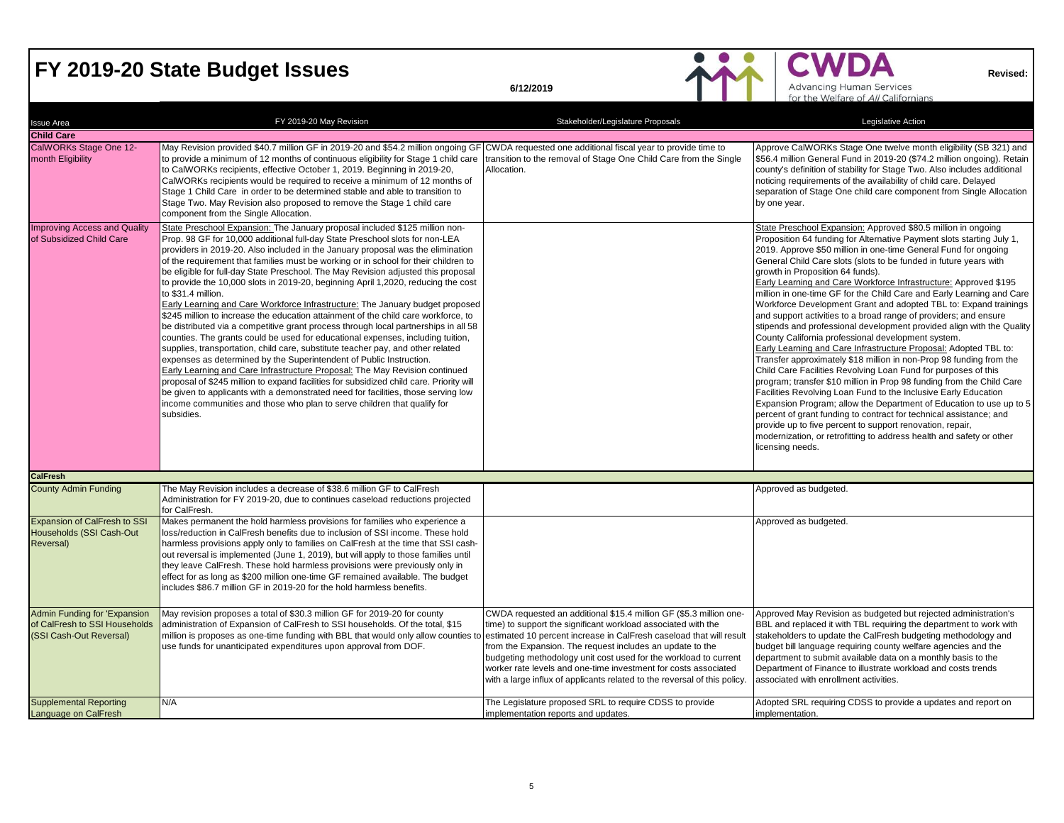## **FY 2019-20 State Budget Issues**<br> **EX 2019-20 State Budget Issues**<br> **EXECUTE:** Advancing Human Services<br> **EXECUTE:** Advancing Human Services<br> **EXECUTE:** Advancing Human Services

| <b>Issue Area</b>                                                                        | FY 2019-20 May Revision                                                                                                                                                                                                                                                                                                                                                                                                                                                                                                                                                                                                                                                                                                                                                                                                                                                                                                                                                                                                                                                                                                                                                                                                                                                                                                                                                                                   | Stakeholder/Legislature Proposals                                                                                                                                                                                                                                                                                                                                                                                                                                                           | Legislative Action                                                                                                                                                                                                                                                                                                                                                                                                                                                                                                                                                                                                                                                                                                                                                                                                                                                                                                                                                                                                                                                                                                                                                                                                                                                                                                                                                                                    |
|------------------------------------------------------------------------------------------|-----------------------------------------------------------------------------------------------------------------------------------------------------------------------------------------------------------------------------------------------------------------------------------------------------------------------------------------------------------------------------------------------------------------------------------------------------------------------------------------------------------------------------------------------------------------------------------------------------------------------------------------------------------------------------------------------------------------------------------------------------------------------------------------------------------------------------------------------------------------------------------------------------------------------------------------------------------------------------------------------------------------------------------------------------------------------------------------------------------------------------------------------------------------------------------------------------------------------------------------------------------------------------------------------------------------------------------------------------------------------------------------------------------|---------------------------------------------------------------------------------------------------------------------------------------------------------------------------------------------------------------------------------------------------------------------------------------------------------------------------------------------------------------------------------------------------------------------------------------------------------------------------------------------|-------------------------------------------------------------------------------------------------------------------------------------------------------------------------------------------------------------------------------------------------------------------------------------------------------------------------------------------------------------------------------------------------------------------------------------------------------------------------------------------------------------------------------------------------------------------------------------------------------------------------------------------------------------------------------------------------------------------------------------------------------------------------------------------------------------------------------------------------------------------------------------------------------------------------------------------------------------------------------------------------------------------------------------------------------------------------------------------------------------------------------------------------------------------------------------------------------------------------------------------------------------------------------------------------------------------------------------------------------------------------------------------------------|
| <b>Child Care</b>                                                                        |                                                                                                                                                                                                                                                                                                                                                                                                                                                                                                                                                                                                                                                                                                                                                                                                                                                                                                                                                                                                                                                                                                                                                                                                                                                                                                                                                                                                           |                                                                                                                                                                                                                                                                                                                                                                                                                                                                                             |                                                                                                                                                                                                                                                                                                                                                                                                                                                                                                                                                                                                                                                                                                                                                                                                                                                                                                                                                                                                                                                                                                                                                                                                                                                                                                                                                                                                       |
| CalWORKs Stage One 12-<br>month Eligibility                                              | May Revision provided \$40.7 million GF in 2019-20 and \$54.2 million ongoing GF CWDA requested one additional fiscal year to provide time to<br>to provide a minimum of 12 months of continuous eligibility for Stage 1 child care<br>to CalWORKs recipients, effective October 1, 2019. Beginning in 2019-20,<br>CalWORKs recipients would be required to receive a minimum of 12 months of<br>Stage 1 Child Care in order to be determined stable and able to transition to<br>Stage Two. May Revision also proposed to remove the Stage 1 child care<br>component from the Single Allocation.                                                                                                                                                                                                                                                                                                                                                                                                                                                                                                                                                                                                                                                                                                                                                                                                         | ransition to the removal of Stage One Child Care from the Single<br>Allocation.                                                                                                                                                                                                                                                                                                                                                                                                             | Approve CalWORKs Stage One twelve month eligibility (SB 321) and<br>\$56.4 million General Fund in 2019-20 (\$74.2 million ongoing). Retain<br>county's definition of stability for Stage Two. Also includes additional<br>noticing requirements of the availability of child care. Delayed<br>separation of Stage One child care component from Single Allocation<br>by one year.                                                                                                                                                                                                                                                                                                                                                                                                                                                                                                                                                                                                                                                                                                                                                                                                                                                                                                                                                                                                                    |
| <b>Improving Access and Quality</b><br>of Subsidized Child Care                          | State Preschool Expansion: The January proposal included \$125 million non-<br>Prop. 98 GF for 10,000 additional full-day State Preschool slots for non-LEA<br>providers in 2019-20. Also included in the January proposal was the elimination<br>of the requirement that families must be working or in school for their children to<br>be eligible for full-day State Preschool. The May Revision adjusted this proposal<br>to provide the 10,000 slots in 2019-20, beginning April 1,2020, reducing the cost<br>to \$31.4 million.<br>Early Learning and Care Workforce Infrastructure: The January budget proposed<br>\$245 million to increase the education attainment of the child care workforce, to<br>be distributed via a competitive grant process through local partnerships in all 58<br>counties. The grants could be used for educational expenses, including tuition,<br>supplies, transportation, child care, substitute teacher pay, and other related<br>expenses as determined by the Superintendent of Public Instruction.<br>Early Learning and Care Infrastructure Proposal: The May Revision continued<br>proposal of \$245 million to expand facilities for subsidized child care. Priority will<br>be given to applicants with a demonstrated need for facilities, those serving low<br>income communities and those who plan to serve children that qualify for<br>subsidies. |                                                                                                                                                                                                                                                                                                                                                                                                                                                                                             | State Preschool Expansion: Approved \$80.5 million in ongoing<br>Proposition 64 funding for Alternative Payment slots starting July 1,<br>2019. Approve \$50 million in one-time General Fund for ongoing<br>General Child Care slots (slots to be funded in future years with<br>growth in Proposition 64 funds).<br>Early Learning and Care Workforce Infrastructure: Approved \$195<br>million in one-time GF for the Child Care and Early Learning and Care<br>Workforce Development Grant and adopted TBL to: Expand trainings<br>and support activities to a broad range of providers; and ensure<br>stipends and professional development provided align with the Quality<br>County California professional development system.<br>Early Learning and Care Infrastructure Proposal: Adopted TBL to:<br>Transfer approximately \$18 million in non-Prop 98 funding from the<br>Child Care Facilities Revolving Loan Fund for purposes of this<br>program; transfer \$10 million in Prop 98 funding from the Child Care<br>Facilities Revolving Loan Fund to the Inclusive Early Education<br>Expansion Program; allow the Department of Education to use up to 5<br>percent of grant funding to contract for technical assistance; and<br>provide up to five percent to support renovation, repair,<br>modernization, or retrofitting to address health and safety or other<br>licensing needs. |
| <b>CalFresh</b>                                                                          |                                                                                                                                                                                                                                                                                                                                                                                                                                                                                                                                                                                                                                                                                                                                                                                                                                                                                                                                                                                                                                                                                                                                                                                                                                                                                                                                                                                                           |                                                                                                                                                                                                                                                                                                                                                                                                                                                                                             |                                                                                                                                                                                                                                                                                                                                                                                                                                                                                                                                                                                                                                                                                                                                                                                                                                                                                                                                                                                                                                                                                                                                                                                                                                                                                                                                                                                                       |
| <b>County Admin Funding</b>                                                              | The May Revision includes a decrease of \$38.6 million GF to CalFresh<br>Administration for FY 2019-20, due to continues caseload reductions projected<br>for CalFresh.                                                                                                                                                                                                                                                                                                                                                                                                                                                                                                                                                                                                                                                                                                                                                                                                                                                                                                                                                                                                                                                                                                                                                                                                                                   |                                                                                                                                                                                                                                                                                                                                                                                                                                                                                             | Approved as budgeted.                                                                                                                                                                                                                                                                                                                                                                                                                                                                                                                                                                                                                                                                                                                                                                                                                                                                                                                                                                                                                                                                                                                                                                                                                                                                                                                                                                                 |
| <b>Expansion of CalFresh to SSI</b><br>Households (SSI Cash-Out<br>Reversal)             | Makes permanent the hold harmless provisions for families who experience a<br>loss/reduction in CalFresh benefits due to inclusion of SSI income. These hold<br>harmless provisions apply only to families on CalFresh at the time that SSI cash-<br>out reversal is implemented (June 1, 2019), but will apply to those families until<br>they leave CalFresh. These hold harmless provisions were previously only in<br>effect for as long as \$200 million one-time GF remained available. The budget<br>includes \$86.7 million GF in 2019-20 for the hold harmless benefits.                                                                                                                                                                                                                                                                                                                                                                                                                                                                                                                                                                                                                                                                                                                                                                                                                         |                                                                                                                                                                                                                                                                                                                                                                                                                                                                                             | Approved as budgeted.                                                                                                                                                                                                                                                                                                                                                                                                                                                                                                                                                                                                                                                                                                                                                                                                                                                                                                                                                                                                                                                                                                                                                                                                                                                                                                                                                                                 |
| Admin Funding for 'Expansion<br>of CalFresh to SSI Households<br>(SSI Cash-Out Reversal) | May revision proposes a total of \$30.3 million GF for 2019-20 for county<br>administration of Expansion of CalFresh to SSI households. Of the total, \$15<br>million is proposes as one-time funding with BBL that would only allow counties<br>use funds for unanticipated expenditures upon approval from DOF.                                                                                                                                                                                                                                                                                                                                                                                                                                                                                                                                                                                                                                                                                                                                                                                                                                                                                                                                                                                                                                                                                         | CWDA requested an additional \$15.4 million GF (\$5.3 million one-<br>time) to support the significant workload associated with the<br>estimated 10 percent increase in CalFresh caseload that will result<br>from the Expansion. The request includes an update to the<br>budgeting methodology unit cost used for the workload to current<br>worker rate levels and one-time investment for costs associated<br>with a large influx of applicants related to the reversal of this policy. | Approved May Revision as budgeted but rejected administration's<br>BBL and replaced it with TBL requiring the department to work with<br>stakeholders to update the CalFresh budgeting methodology and<br>budget bill language requiring county welfare agencies and the<br>department to submit available data on a monthly basis to the<br>Department of Finance to illustrate workload and costs trends<br>associated with enrollment activities.                                                                                                                                                                                                                                                                                                                                                                                                                                                                                                                                                                                                                                                                                                                                                                                                                                                                                                                                                  |
| <b>Supplemental Reporting</b><br>Language on CalFresh                                    | N/A                                                                                                                                                                                                                                                                                                                                                                                                                                                                                                                                                                                                                                                                                                                                                                                                                                                                                                                                                                                                                                                                                                                                                                                                                                                                                                                                                                                                       | The Legislature proposed SRL to require CDSS to provide<br>implementation reports and updates.                                                                                                                                                                                                                                                                                                                                                                                              | Adopted SRL requiring CDSS to provide a updates and report on<br>implementation.                                                                                                                                                                                                                                                                                                                                                                                                                                                                                                                                                                                                                                                                                                                                                                                                                                                                                                                                                                                                                                                                                                                                                                                                                                                                                                                      |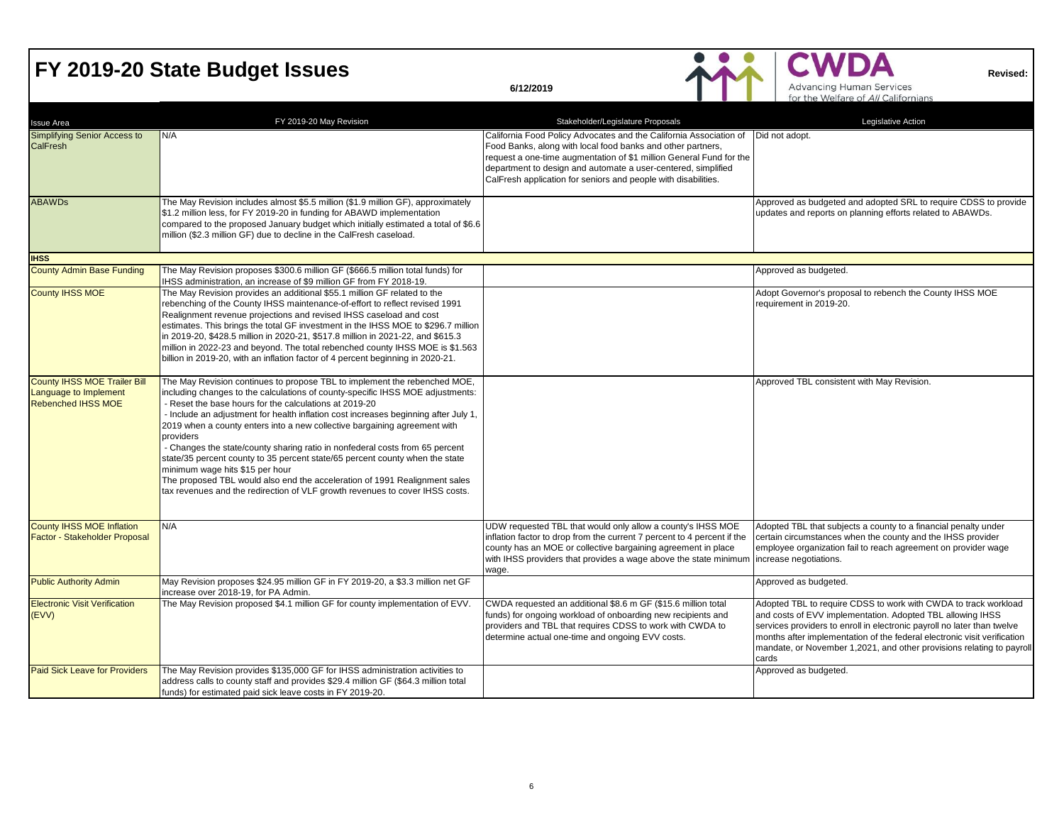## **FY 2019-20 State Budget Issues**<br> **EX 2019-20 State Budget Issues**

| <b>Issue Area</b>                                                                         | FY 2019-20 May Revision                                                                                                                                                                                                                                                                                                                                                                                                                                                                                                                                                                                                                                                                                                                                                 | Stakeholder/Legislature Proposals                                                                                                                                                                                                                                                                                                           | Legislative Action                                                                                                                                                                                                                                                                                                                                                     |
|-------------------------------------------------------------------------------------------|-------------------------------------------------------------------------------------------------------------------------------------------------------------------------------------------------------------------------------------------------------------------------------------------------------------------------------------------------------------------------------------------------------------------------------------------------------------------------------------------------------------------------------------------------------------------------------------------------------------------------------------------------------------------------------------------------------------------------------------------------------------------------|---------------------------------------------------------------------------------------------------------------------------------------------------------------------------------------------------------------------------------------------------------------------------------------------------------------------------------------------|------------------------------------------------------------------------------------------------------------------------------------------------------------------------------------------------------------------------------------------------------------------------------------------------------------------------------------------------------------------------|
| Simplifying Senior Access to<br><b>CalFresh</b>                                           | N/A                                                                                                                                                                                                                                                                                                                                                                                                                                                                                                                                                                                                                                                                                                                                                                     | California Food Policy Advocates and the California Association of<br>Food Banks, along with local food banks and other partners,<br>request a one-time augmentation of \$1 million General Fund for the<br>department to design and automate a user-centered, simplified<br>CalFresh application for seniors and people with disabilities. | Did not adopt.                                                                                                                                                                                                                                                                                                                                                         |
| <b>ABAWDs</b>                                                                             | The May Revision includes almost \$5.5 million (\$1.9 million GF), approximately<br>\$1.2 million less, for FY 2019-20 in funding for ABAWD implementation<br>compared to the proposed January budget which initially estimated a total of \$6.6<br>million (\$2.3 million GF) due to decline in the CalFresh caseload.                                                                                                                                                                                                                                                                                                                                                                                                                                                 |                                                                                                                                                                                                                                                                                                                                             | Approved as budgeted and adopted SRL to require CDSS to provide<br>updates and reports on planning efforts related to ABAWDs.                                                                                                                                                                                                                                          |
| <b>IHSS</b>                                                                               |                                                                                                                                                                                                                                                                                                                                                                                                                                                                                                                                                                                                                                                                                                                                                                         |                                                                                                                                                                                                                                                                                                                                             |                                                                                                                                                                                                                                                                                                                                                                        |
| <b>County Admin Base Funding</b>                                                          | The May Revision proposes \$300.6 million GF (\$666.5 million total funds) for<br>IHSS administration, an increase of \$9 million GF from FY 2018-19.                                                                                                                                                                                                                                                                                                                                                                                                                                                                                                                                                                                                                   |                                                                                                                                                                                                                                                                                                                                             | Approved as budgeted.                                                                                                                                                                                                                                                                                                                                                  |
| <b>County IHSS MOE</b>                                                                    | The May Revision provides an additional \$55.1 million GF related to the<br>rebenching of the County IHSS maintenance-of-effort to reflect revised 1991<br>Realignment revenue projections and revised IHSS caseload and cost<br>estimates. This brings the total GF investment in the IHSS MOE to \$296.7 million<br>in 2019-20, \$428.5 million in 2020-21, \$517.8 million in 2021-22, and \$615.3<br>million in 2022-23 and beyond. The total rebenched county IHSS MOE is \$1.563<br>billion in 2019-20, with an inflation factor of 4 percent beginning in 2020-21.                                                                                                                                                                                               |                                                                                                                                                                                                                                                                                                                                             | Adopt Governor's proposal to rebench the County IHSS MOE<br>requirement in 2019-20.                                                                                                                                                                                                                                                                                    |
| <b>County IHSS MOE Trailer Bill</b><br>Language to Implement<br><b>Rebenched IHSS MOE</b> | The May Revision continues to propose TBL to implement the rebenched MOE,<br>including changes to the calculations of county-specific IHSS MOE adjustments:<br>- Reset the base hours for the calculations at 2019-20<br>- Include an adjustment for health inflation cost increases beginning after July 1,<br>2019 when a county enters into a new collective bargaining agreement with<br>providers<br>- Changes the state/county sharing ratio in nonfederal costs from 65 percent<br>state/35 percent county to 35 percent state/65 percent county when the state<br>minimum wage hits \$15 per hour<br>The proposed TBL would also end the acceleration of 1991 Realignment sales<br>tax revenues and the redirection of VLF growth revenues to cover IHSS costs. |                                                                                                                                                                                                                                                                                                                                             | Approved TBL consistent with May Revision.                                                                                                                                                                                                                                                                                                                             |
| <b>County IHSS MOE Inflation</b><br>Factor - Stakeholder Proposal                         | N/A                                                                                                                                                                                                                                                                                                                                                                                                                                                                                                                                                                                                                                                                                                                                                                     | UDW requested TBL that would only allow a county's IHSS MOE<br>inflation factor to drop from the current 7 percent to 4 percent if the<br>county has an MOE or collective bargaining agreement in place<br>with IHSS providers that provides a wage above the state minimum<br>wage.                                                        | Adopted TBL that subjects a county to a financial penalty under<br>certain circumstances when the county and the IHSS provider<br>employee organization fail to reach agreement on provider wage<br>increase negotiations.                                                                                                                                             |
| <b>Public Authority Admin</b>                                                             | May Revision proposes \$24.95 million GF in FY 2019-20, a \$3.3 million net GF<br>increase over 2018-19, for PA Admin.                                                                                                                                                                                                                                                                                                                                                                                                                                                                                                                                                                                                                                                  |                                                                                                                                                                                                                                                                                                                                             | Approved as budgeted.                                                                                                                                                                                                                                                                                                                                                  |
| <b>Electronic Visit Verification</b><br>(EVV)                                             | The May Revision proposed \$4.1 million GF for county implementation of EVV.                                                                                                                                                                                                                                                                                                                                                                                                                                                                                                                                                                                                                                                                                            | CWDA requested an additional \$8.6 m GF (\$15.6 million total<br>funds) for ongoing workload of onboarding new recipients and<br>providers and TBL that requires CDSS to work with CWDA to<br>determine actual one-time and ongoing EVV costs.                                                                                              | Adopted TBL to require CDSS to work with CWDA to track workload<br>and costs of EVV implementation. Adopted TBL allowing IHSS<br>services providers to enroll in electronic payroll no later than twelve<br>months after implementation of the federal electronic visit verification<br>mandate, or November 1,2021, and other provisions relating to payroll<br>cards |
| <b>Paid Sick Leave for Providers</b>                                                      | The May Revision provides \$135,000 GF for IHSS administration activities to<br>address calls to county staff and provides \$29.4 million GF (\$64.3 million total<br>funds) for estimated paid sick leave costs in FY 2019-20.                                                                                                                                                                                                                                                                                                                                                                                                                                                                                                                                         |                                                                                                                                                                                                                                                                                                                                             | Approved as budgeted.                                                                                                                                                                                                                                                                                                                                                  |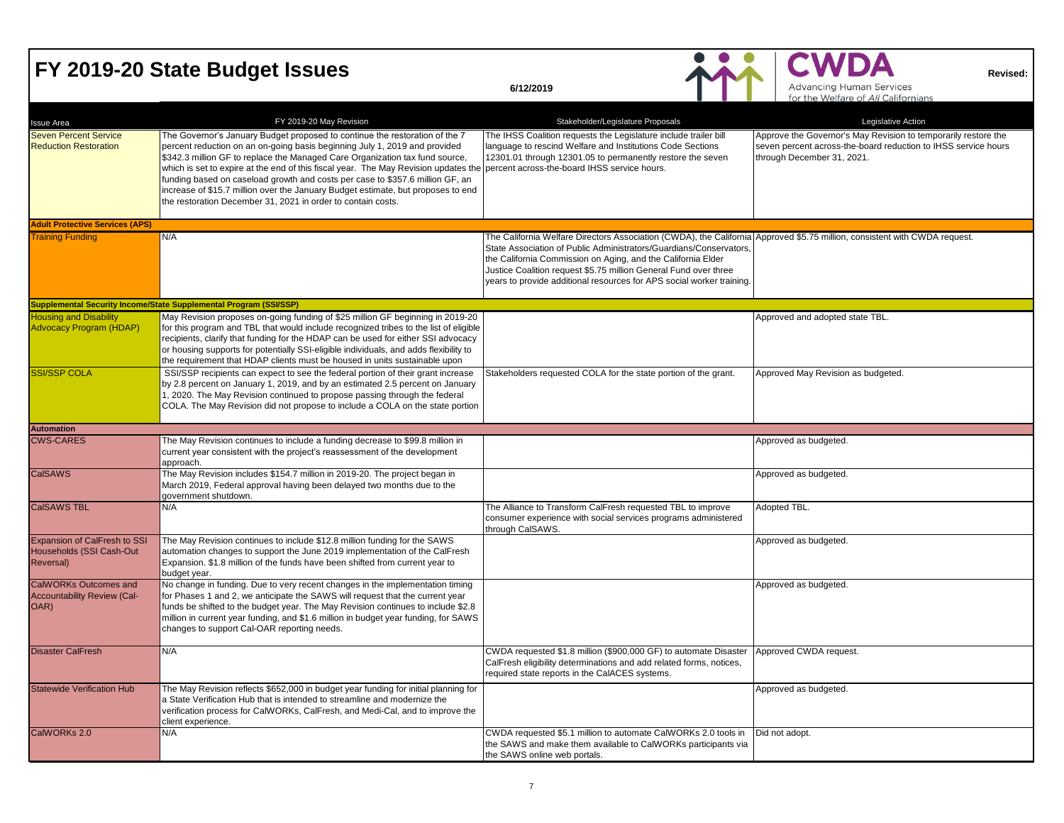#### **FY 2019-20 State Budget Issues**

|                                                                            |                                                                                                                                                                                                                                                                                                                                                                                                                                                                                                                                                                                                                    |                                                                                                                                                                                                                                                                                                                                                                                                               | for the Welfare of All Californians                                                                                                                            |
|----------------------------------------------------------------------------|--------------------------------------------------------------------------------------------------------------------------------------------------------------------------------------------------------------------------------------------------------------------------------------------------------------------------------------------------------------------------------------------------------------------------------------------------------------------------------------------------------------------------------------------------------------------------------------------------------------------|---------------------------------------------------------------------------------------------------------------------------------------------------------------------------------------------------------------------------------------------------------------------------------------------------------------------------------------------------------------------------------------------------------------|----------------------------------------------------------------------------------------------------------------------------------------------------------------|
| <b>Issue Area</b>                                                          | FY 2019-20 May Revision                                                                                                                                                                                                                                                                                                                                                                                                                                                                                                                                                                                            | Stakeholder/Legislature Proposals                                                                                                                                                                                                                                                                                                                                                                             | Legislative Action                                                                                                                                             |
| <b>Seven Percent Service</b><br><b>Reduction Restoration</b>               | The Governor's January Budget proposed to continue the restoration of the 7<br>percent reduction on an on-going basis beginning July 1, 2019 and provided<br>\$342.3 million GF to replace the Managed Care Organization tax fund source,<br>which is set to expire at the end of this fiscal year. The May Revision updates the percent across-the-board IHSS service hours.<br>funding based on caseload growth and costs per case to \$357.6 million GF, an<br>increase of \$15.7 million over the January Budget estimate, but proposes to end<br>the restoration December 31, 2021 in order to contain costs. | The IHSS Coalition requests the Legislature include trailer bill<br>language to rescind Welfare and Institutions Code Sections<br>12301.01 through 12301.05 to permanently restore the seven                                                                                                                                                                                                                  | Approve the Governor's May Revision to temporarily restore the<br>seven percent across-the-board reduction to IHSS service hours<br>through December 31, 2021. |
| <b>Adult Protective Services (APS)</b>                                     |                                                                                                                                                                                                                                                                                                                                                                                                                                                                                                                                                                                                                    |                                                                                                                                                                                                                                                                                                                                                                                                               |                                                                                                                                                                |
| <b>Training Funding</b>                                                    | N/A                                                                                                                                                                                                                                                                                                                                                                                                                                                                                                                                                                                                                | The California Welfare Directors Association (CWDA), the California Approved \$5.75 million, consistent with CWDA request.<br>State Association of Public Administrators/Guardians/Conservators,<br>the California Commission on Aging, and the California Elder<br>Justice Coalition request \$5.75 million General Fund over three<br>years to provide additional resources for APS social worker training. |                                                                                                                                                                |
|                                                                            | Supplemental Security Income/State Supplemental Program (SSI/SSP)                                                                                                                                                                                                                                                                                                                                                                                                                                                                                                                                                  |                                                                                                                                                                                                                                                                                                                                                                                                               |                                                                                                                                                                |
| <b>Housing and Disability</b><br><b>Advocacy Program (HDAP)</b>            | May Revision proposes on-going funding of \$25 million GF beginning in 2019-20<br>for this program and TBL that would include recognized tribes to the list of eligible<br>recipients, clarify that funding for the HDAP can be used for either SSI advocacy<br>or housing supports for potentially SSI-eligible individuals, and adds flexibility to<br>the requirement that HDAP clients must be housed in units sustainable upon                                                                                                                                                                                |                                                                                                                                                                                                                                                                                                                                                                                                               | Approved and adopted state TBL.                                                                                                                                |
| <b>SSI/SSP COLA</b>                                                        | SSI/SSP recipients can expect to see the federal portion of their grant increase<br>by 2.8 percent on January 1, 2019, and by an estimated 2.5 percent on January<br>1, 2020. The May Revision continued to propose passing through the federal<br>COLA. The May Revision did not propose to include a COLA on the state portion                                                                                                                                                                                                                                                                                   | Stakeholders requested COLA for the state portion of the grant.                                                                                                                                                                                                                                                                                                                                               | Approved May Revision as budgeted.                                                                                                                             |
| <b>Automation</b>                                                          |                                                                                                                                                                                                                                                                                                                                                                                                                                                                                                                                                                                                                    |                                                                                                                                                                                                                                                                                                                                                                                                               |                                                                                                                                                                |
| <b>CWS-CARES</b>                                                           | The May Revision continues to include a funding decrease to \$99.8 million in<br>current year consistent with the project's reassessment of the development<br>approach.                                                                                                                                                                                                                                                                                                                                                                                                                                           |                                                                                                                                                                                                                                                                                                                                                                                                               | Approved as budgeted.                                                                                                                                          |
| <b>CalSAWS</b>                                                             | The May Revision includes \$154.7 million in 2019-20. The project began in<br>March 2019, Federal approval having been delayed two months due to the<br>government shutdown.                                                                                                                                                                                                                                                                                                                                                                                                                                       |                                                                                                                                                                                                                                                                                                                                                                                                               | Approved as budgeted.                                                                                                                                          |
| <b>CalSAWS TBL</b>                                                         | N/A                                                                                                                                                                                                                                                                                                                                                                                                                                                                                                                                                                                                                | The Alliance to Transform CalFresh requested TBL to improve<br>consumer experience with social services programs administered<br>through CalSAWS.                                                                                                                                                                                                                                                             | Adopted TBL.                                                                                                                                                   |
| Expansion of CalFresh to SSI<br>Households (SSI Cash-Out<br>Reversal)      | The May Revision continues to include \$12.8 million funding for the SAWS<br>automation changes to support the June 2019 implementation of the CalFresh<br>Expansion. \$1.8 million of the funds have been shifted from current year to<br>budget year.                                                                                                                                                                                                                                                                                                                                                            |                                                                                                                                                                                                                                                                                                                                                                                                               | Approved as budgeted.                                                                                                                                          |
| <b>CalWORKs Outcomes and</b><br><b>Accountability Review (Cal-</b><br>OAR) | No change in funding. Due to very recent changes in the implementation timing<br>for Phases 1 and 2, we anticipate the SAWS will request that the current year<br>funds be shifted to the budget year. The May Revision continues to include \$2.8<br>million in current year funding, and \$1.6 million in budget year funding, for SAWS<br>changes to support Cal-OAR reporting needs.                                                                                                                                                                                                                           |                                                                                                                                                                                                                                                                                                                                                                                                               | Approved as budgeted.                                                                                                                                          |
| <b>Disaster CalFresh</b>                                                   | N/A                                                                                                                                                                                                                                                                                                                                                                                                                                                                                                                                                                                                                | CWDA requested \$1.8 million (\$900,000 GF) to automate Disaster<br>CalFresh eligibility determinations and add related forms, notices,<br>required state reports in the CalACES systems.                                                                                                                                                                                                                     | Approved CWDA request.                                                                                                                                         |
| <b>Statewide Verification Hub</b>                                          | The May Revision reflects \$652,000 in budget year funding for initial planning for<br>a State Verification Hub that is intended to streamline and modernize the<br>verification process for CalWORKs, CalFresh, and Medi-Cal, and to improve the<br>client experience.                                                                                                                                                                                                                                                                                                                                            |                                                                                                                                                                                                                                                                                                                                                                                                               | Approved as budgeted.                                                                                                                                          |
| CalWORKs 2.0                                                               | N/A                                                                                                                                                                                                                                                                                                                                                                                                                                                                                                                                                                                                                | CWDA requested \$5.1 million to automate CalWORKs 2.0 tools in<br>the SAWS and make them available to CalWORKs participants via<br>the SAWS online web portals.                                                                                                                                                                                                                                               | Did not adopt.                                                                                                                                                 |